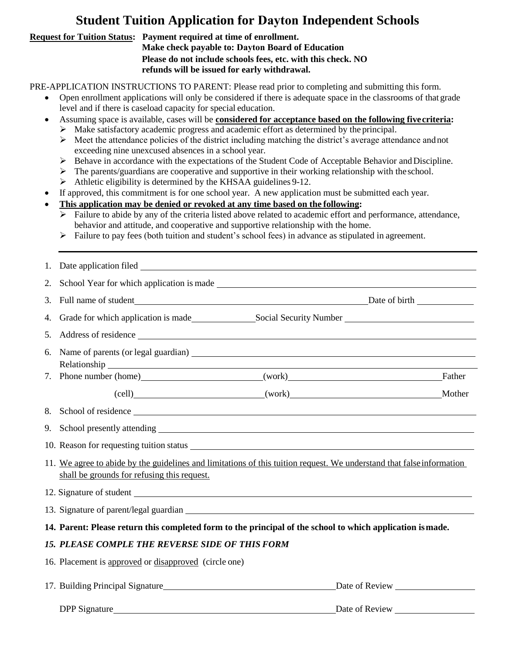## **Student Tuition Application for Dayton Independent Schools**

## **Request for Tuition Status: Payment required at time of enrollment.**

**Make check payable to: Dayton Board of Education Please do not include schools fees, etc. with this check. NO refunds will be issued for early withdrawal.** 

PRE-APPLICATION INSTRUCTIONS TO PARENT: Please read prior to completing and submitting this form.

- Open enrollment applications will only be considered if there is adequate space in the classrooms of that grade level and if there is caseload capacity for special education.
- Assuming space is available, cases will be **considered for acceptance based on the following fivecriteria:**
	- $\triangleright$  Make satisfactory academic progress and academic effort as determined by the principal.
	- $\triangleright$  Meet the attendance policies of the district including matching the district's average attendance and not exceeding nine unexcused absences in a school year.
	- $\triangleright$  Behave in accordance with the expectations of the Student Code of Acceptable Behavior and Discipline.
	- $\triangleright$  The parents/guardians are cooperative and supportive in their working relationship with the school.
	- ➢ Athletic eligibility is determined by the KHSAA guidelines 9-12.
- If approved, this commitment is for one school year. A new application must be submitted each year.
- **This application may be denied or revoked at any time based on the following:**
	- Failure to abide by any of the criteria listed above related to academic effort and performance, attendance, behavior and attitude, and cooperative and supportive relationship with the home.
	- $\triangleright$  Failure to pay fees (both tuition and student's school fees) in advance as stipulated in agreement.

| 2.                                                                                                         |                                                                                                                                                                                                                                |  |        |  |
|------------------------------------------------------------------------------------------------------------|--------------------------------------------------------------------------------------------------------------------------------------------------------------------------------------------------------------------------------|--|--------|--|
| 3.                                                                                                         |                                                                                                                                                                                                                                |  |        |  |
| 4.                                                                                                         | Grade for which application is made<br>Social Security Number<br>Social Security Number                                                                                                                                        |  |        |  |
| 5.                                                                                                         |                                                                                                                                                                                                                                |  |        |  |
| 6.                                                                                                         | Relationship experience and the contract of the contract of the contract of the contract of the contract of the contract of the contract of the contract of the contract of the contract of the contract of the contract of th |  |        |  |
|                                                                                                            | 7. Phone number (home) (work)                                                                                                                                                                                                  |  | Father |  |
|                                                                                                            |                                                                                                                                                                                                                                |  |        |  |
| 8.                                                                                                         |                                                                                                                                                                                                                                |  |        |  |
| 9.                                                                                                         | School presently attending express that the set of the set of the set of the set of the set of the set of the set of the set of the set of the set of the set of the set of the set of the set of the set of the set of the se |  |        |  |
|                                                                                                            |                                                                                                                                                                                                                                |  |        |  |
|                                                                                                            | 11. We agree to abide by the guidelines and limitations of this tuition request. We understand that false information<br>shall be grounds for refusing this request.                                                           |  |        |  |
|                                                                                                            |                                                                                                                                                                                                                                |  |        |  |
|                                                                                                            |                                                                                                                                                                                                                                |  |        |  |
| 14. Parent: Please return this completed form to the principal of the school to which application is made. |                                                                                                                                                                                                                                |  |        |  |
| <b>15. PLEASE COMPLE THE REVERSE SIDE OF THIS FORM</b>                                                     |                                                                                                                                                                                                                                |  |        |  |
|                                                                                                            | 16. Placement is approved or disapproved (circle one)                                                                                                                                                                          |  |        |  |
|                                                                                                            |                                                                                                                                                                                                                                |  |        |  |